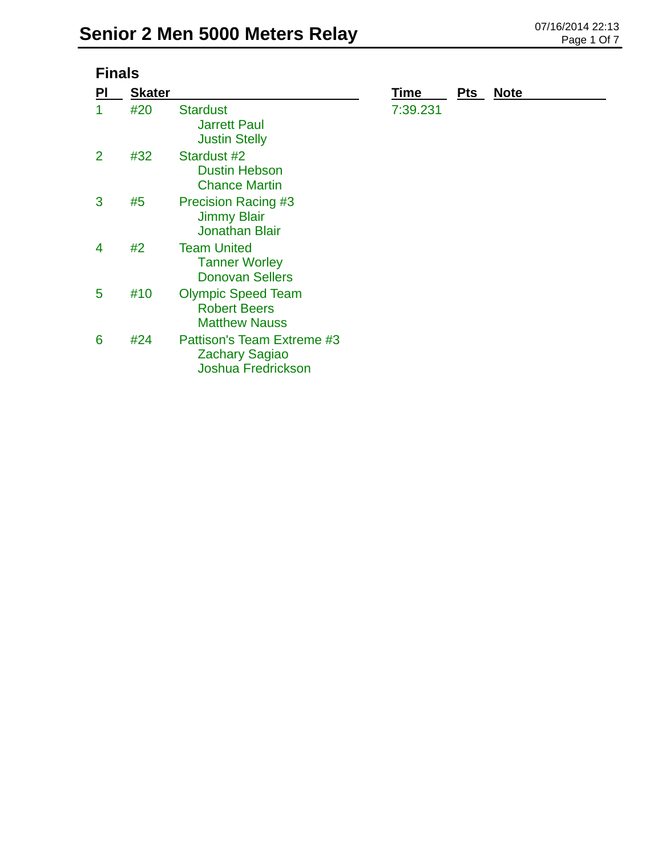| <b>Finals</b>  |               |                                                                                  |          |            |             |  |  |
|----------------|---------------|----------------------------------------------------------------------------------|----------|------------|-------------|--|--|
| PI             | <b>Skater</b> |                                                                                  | Time     | <u>Pts</u> | <b>Note</b> |  |  |
|                | #20           | <b>Stardust</b><br><b>Jarrett Paul</b><br><b>Justin Stelly</b>                   | 7:39.231 |            |             |  |  |
| $\overline{2}$ | #32           | Stardust #2<br><b>Dustin Hebson</b><br><b>Chance Martin</b>                      |          |            |             |  |  |
| 3              | #5            | <b>Precision Racing #3</b><br><b>Jimmy Blair</b><br><b>Jonathan Blair</b>        |          |            |             |  |  |
| 4              | #2            | <b>Team United</b><br><b>Tanner Worley</b><br><b>Donovan Sellers</b>             |          |            |             |  |  |
| 5              | #10           | <b>Olympic Speed Team</b><br><b>Robert Beers</b><br><b>Matthew Nauss</b>         |          |            |             |  |  |
| 6              | #24           | Pattison's Team Extreme #3<br><b>Zachary Sagiao</b><br><b>Joshua Fredrickson</b> |          |            |             |  |  |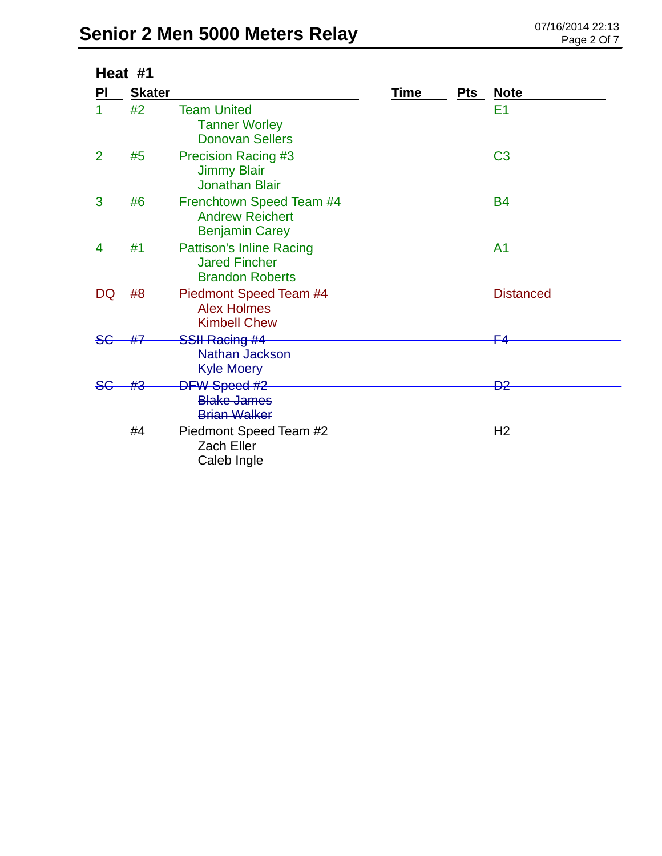## **Senior 2 Men 5000 Meters Relay** 07/16/2014 22:13

| Heat #1        |               |                                                                                   |             |       |                  |
|----------------|---------------|-----------------------------------------------------------------------------------|-------------|-------|------------------|
| PI             | <b>Skater</b> |                                                                                   | <u>Time</u> | $Pts$ | <b>Note</b>      |
| 1              | #2            | <b>Team United</b><br><b>Tanner Worley</b><br><b>Donovan Sellers</b>              |             |       | E <sub>1</sub>   |
| $\overline{2}$ | #5            | <b>Precision Racing #3</b><br><b>Jimmy Blair</b><br><b>Jonathan Blair</b>         |             |       | C <sub>3</sub>   |
| 3              | #6            | Frenchtown Speed Team #4<br><b>Andrew Reichert</b><br><b>Benjamin Carey</b>       |             |       | <b>B4</b>        |
| 4              | #1            | <b>Pattison's Inline Racing</b><br><b>Jared Fincher</b><br><b>Brandon Roberts</b> |             |       | A <sub>1</sub>   |
| DQ             | #8            | Piedmont Speed Team #4<br><b>Alex Holmes</b><br><b>Kimbell Chew</b>               |             |       | <b>Distanced</b> |
|                |               | <del>SSII Racing #4</del>                                                         |             |       | ⊏⊿               |
|                |               | Nathan Jackson<br><b>Kyle Moery</b>                                               |             |       |                  |
|                |               | <b>DFW Speed #2</b><br><b>Blake James</b><br><b>Brian Walker</b>                  |             |       | <del>D2</del>    |
|                | #4            | Piedmont Speed Team #2<br><b>Zach Eller</b><br>Caleb Ingle                        |             |       | H <sub>2</sub>   |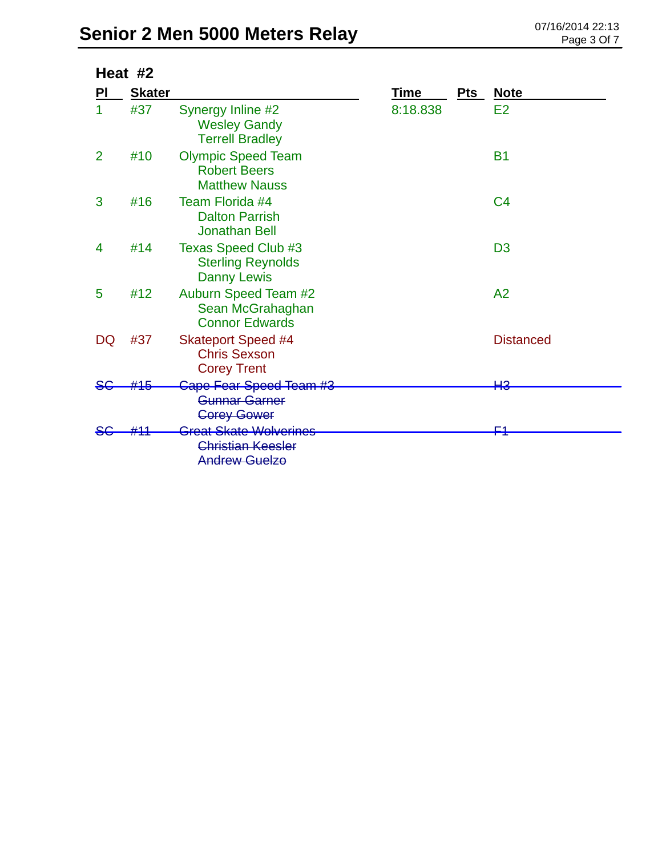|    | Heat #2       |                                                                                       |             |       |                  |
|----|---------------|---------------------------------------------------------------------------------------|-------------|-------|------------------|
| PI | <b>Skater</b> |                                                                                       | <b>Time</b> | $Pts$ | <b>Note</b>      |
| 1  | #37           | Synergy Inline #2<br><b>Wesley Gandy</b><br><b>Terrell Bradley</b>                    | 8:18.838    |       | E2               |
| 2  | #10           | <b>Olympic Speed Team</b><br><b>Robert Beers</b><br><b>Matthew Nauss</b>              |             |       | <b>B1</b>        |
| 3  | #16           | Team Florida #4<br><b>Dalton Parrish</b><br><b>Jonathan Bell</b>                      |             |       | C <sub>4</sub>   |
| 4  | #14           | Texas Speed Club #3<br><b>Sterling Reynolds</b><br><b>Danny Lewis</b>                 |             |       | D <sub>3</sub>   |
| 5  | #12           | Auburn Speed Team #2<br>Sean McGrahaghan<br><b>Connor Edwards</b>                     |             |       | A <sub>2</sub>   |
| DQ | #37           | <b>Skateport Speed #4</b><br><b>Chris Sexson</b><br><b>Corey Trent</b>                |             |       | <b>Distanced</b> |
|    | #15           | Cape Fear Speed Team #3                                                               |             |       | HЗ               |
|    |               | Gunnar Garner<br><b>Corey Gower</b>                                                   |             |       |                  |
|    |               | <del>Great Skate Wolverines</del><br><b>Christian Keesler</b><br><b>Andrew Guelzo</b> |             |       | <u>c4</u>        |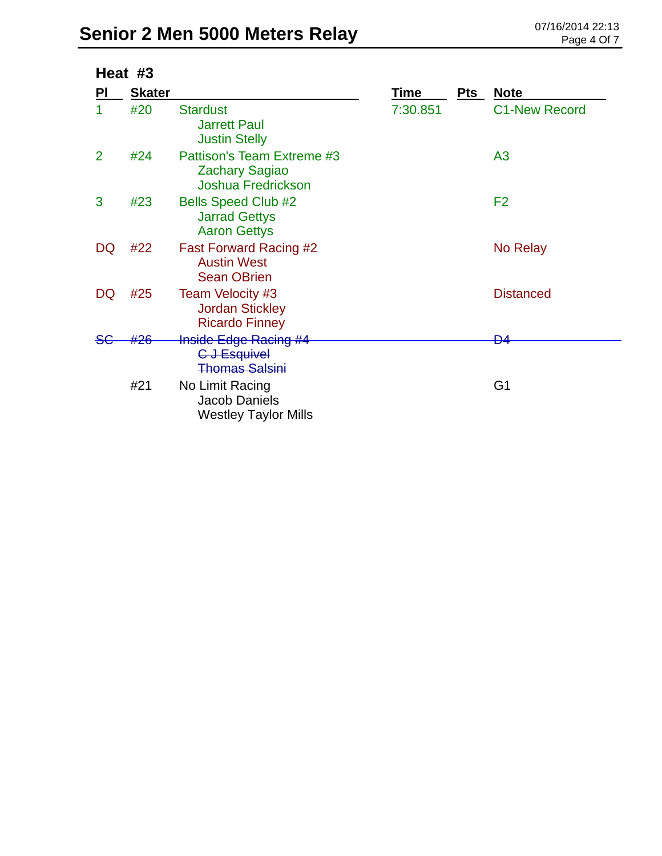| Heat #3        |               |                                                                                  |          |     |                      |
|----------------|---------------|----------------------------------------------------------------------------------|----------|-----|----------------------|
| <b>PI</b>      | <b>Skater</b> |                                                                                  | Time     | Pts | <b>Note</b>          |
|                | #20           | <b>Stardust</b><br><b>Jarrett Paul</b><br><b>Justin Stelly</b>                   | 7:30.851 |     | <b>C1-New Record</b> |
| $\overline{2}$ | #24           | Pattison's Team Extreme #3<br><b>Zachary Sagiao</b><br><b>Joshua Fredrickson</b> |          |     | A <sub>3</sub>       |
| 3              | #23           | <b>Bells Speed Club #2</b><br><b>Jarrad Gettys</b><br><b>Aaron Gettys</b>        |          |     | F <sub>2</sub>       |
| DQ             | #22           | <b>Fast Forward Racing #2</b><br><b>Austin West</b><br><b>Sean OBrien</b>        |          |     | No Relay             |
| DQ             | #25           | Team Velocity #3<br><b>Jordan Stickley</b><br><b>Ricardo Finney</b>              |          |     | <b>Distanced</b>     |
|                |               | <b>Inside Edge Racing #4</b>                                                     |          |     | Ð4                   |
|                | #21           | C J Esquivel<br><b>Thomas Salsini</b><br>No Limit Racing<br><b>Jacob Daniels</b> |          |     | G <sub>1</sub>       |
|                |               | <b>Westley Taylor Mills</b>                                                      |          |     |                      |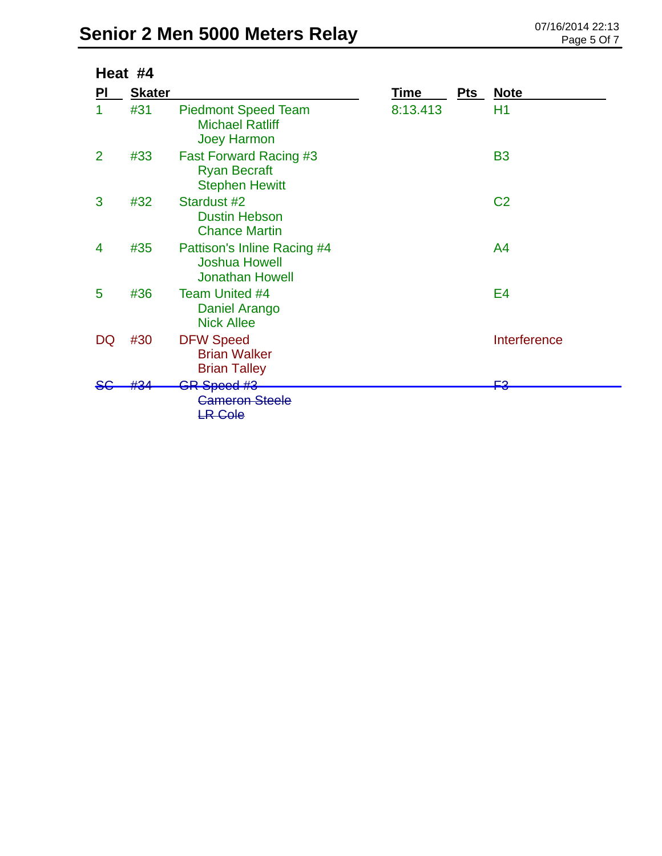| Heat #4        |               |                                                                               |          |     |                |
|----------------|---------------|-------------------------------------------------------------------------------|----------|-----|----------------|
| PI             | <b>Skater</b> |                                                                               | Time     | Pts | <b>Note</b>    |
| 1              | #31           | <b>Piedmont Speed Team</b><br><b>Michael Ratliff</b><br><b>Joey Harmon</b>    | 8:13.413 |     | H1             |
| $\overline{2}$ | #33           | <b>Fast Forward Racing #3</b><br><b>Ryan Becraft</b><br><b>Stephen Hewitt</b> |          |     | <b>B3</b>      |
| 3              | #32           | Stardust #2<br><b>Dustin Hebson</b><br><b>Chance Martin</b>                   |          |     | C <sub>2</sub> |
| 4              | #35           | Pattison's Inline Racing #4<br><b>Joshua Howell</b><br><b>Jonathan Howell</b> |          |     | A <sub>4</sub> |
| 5              | #36           | <b>Team United #4</b><br>Daniel Arango<br><b>Nick Allee</b>                   |          |     | E <sub>4</sub> |
| DQ             | #30           | <b>DFW Speed</b><br><b>Brian Walker</b><br><b>Brian Talley</b>                |          |     | Interference   |
|                |               | <del>GR-Speed #3</del><br><b>Cameron Steele</b><br><b>LR Cole</b>             |          |     | ≏⊒             |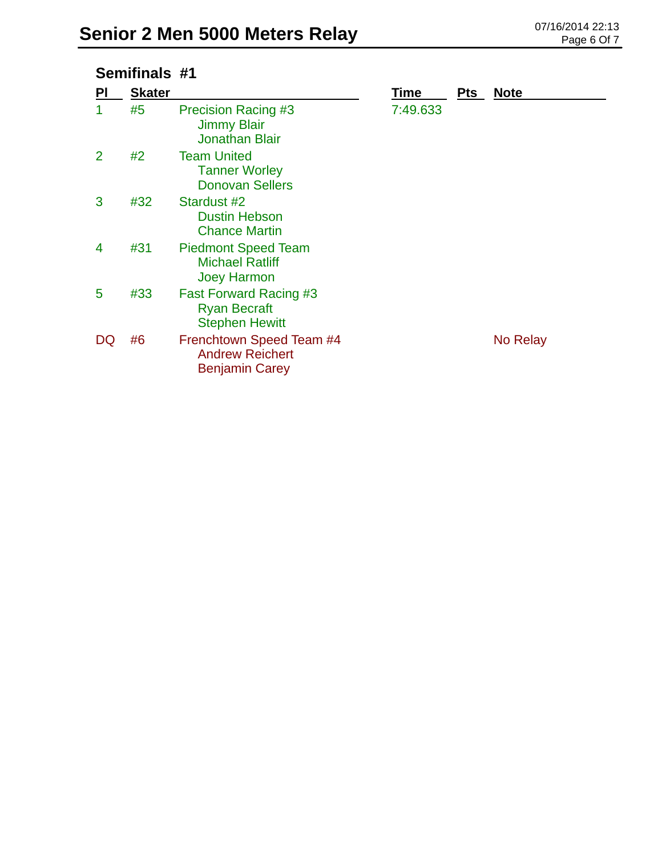## **Semifinals #1**

| PI | <b>Skater</b> |                                                                               | Time     | <b>Pts</b> | <b>Note</b> |
|----|---------------|-------------------------------------------------------------------------------|----------|------------|-------------|
| 1  | #5            | <b>Precision Racing #3</b><br><b>Jimmy Blair</b><br><b>Jonathan Blair</b>     | 7:49.633 |            |             |
| 2  | #2            | <b>Team United</b><br><b>Tanner Worley</b><br><b>Donovan Sellers</b>          |          |            |             |
| 3  | #32           | Stardust #2<br><b>Dustin Hebson</b><br><b>Chance Martin</b>                   |          |            |             |
| 4  | #31           | <b>Piedmont Speed Team</b><br><b>Michael Ratliff</b><br><b>Joey Harmon</b>    |          |            |             |
| 5  | #33           | <b>Fast Forward Racing #3</b><br><b>Ryan Becraft</b><br><b>Stephen Hewitt</b> |          |            |             |
| DQ | #6            | Frenchtown Speed Team #4<br><b>Andrew Reichert</b><br><b>Benjamin Carey</b>   |          |            | No Relay    |